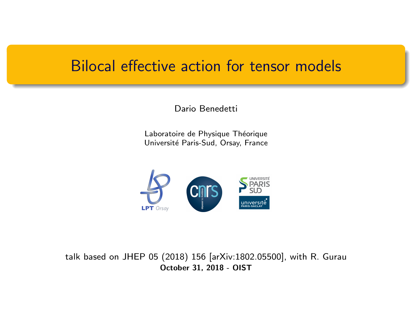#### Bilocal effective action for tensor models

Dario Benedetti

Laboratoire de Physique Théorique Université Paris-Sud, Orsay, France



talk based on JHEP 05 (2018) 156 [arXiv:1802.05500], with R. Gurau October 31, 2018 - OIST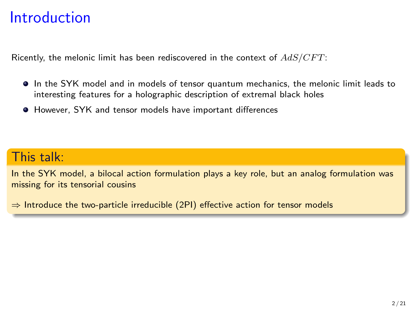## Introduction

Ricently, the melonic limit has been rediscovered in the context of  $AdS/CFT$ :

- $\bullet$  In the SYK model and in models of tensor quantum mechanics, the melonic limit leads to interesting features for a holographic description of extremal black holes
- However, SYK and tensor models have important differences

#### This talk:

In the SYK model, a bilocal action formulation plays a key role, but an analog formulation was missing for its tensorial cousins

 $\Rightarrow$  Introduce the two-particle irreducible (2PI) effective action for tensor models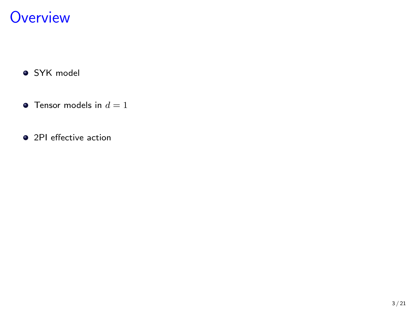## **Overview**

- **•** SYK model
- **•** Tensor models in  $d = 1$
- 2PI effective action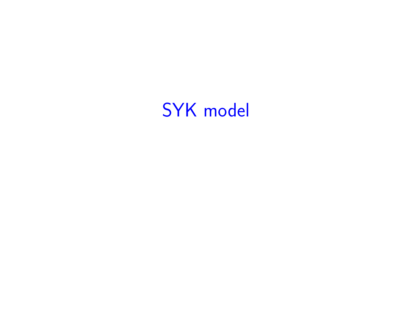# SYK model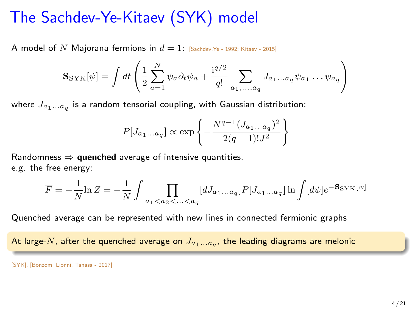## The Sachdev-Ye-Kitaev (SYK) model

A model of N Majorana fermions in  $d = 1$ : [Sachdev, Ye - 1992; Kitaev - 2015]

$$
\mathbf{S}_{\text{SYK}}[\psi] = \int dt \left( \frac{1}{2} \sum_{a=1}^{N} \psi_a \partial_t \psi_a + \frac{i^{q/2}}{q!} \sum_{a_1, \dots, a_q} J_{a_1 \dots a_q} \psi_{a_1} \dots \psi_{a_q} \right)
$$

where  $J_{a_1...a_q}$  is a random tensorial coupling, with Gaussian distribution:

$$
P[J_{a_1...a_q}] \propto \exp\left\{-\frac{N^{q-1}(J_{a_1...a_q})^2}{2(q-1)!J^2}\right\}
$$

Randomness  $\Rightarrow$  quenched average of intensive quantities, e.g. the free energy:

$$
\overline{F}=-\frac{1}{N}\overline{\ln Z}=-\frac{1}{N}\int \prod_{a_1
$$

Quenched average can be represented with new lines in connected fermionic graphs

At large- $N$ , after the quenched average on  $J_{a_1...a_q},$  the leading diagrams are melonic

<sup>[</sup>SYK], [Bonzom, Lionni, Tanasa - 2017]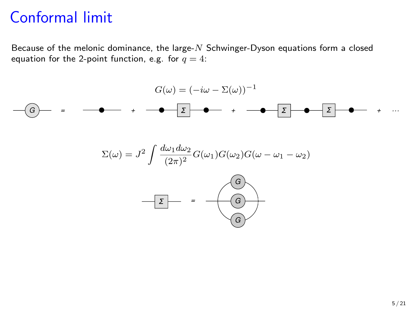Because of the melonic dominance, the large- $N$  Schwinger-Dyson equations form a closed equation for the 2-point function, e.g. for  $q = 4$ :

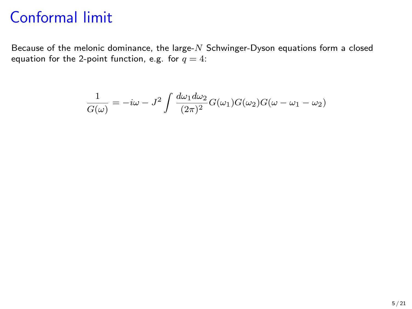Because of the melonic dominance, the large- $N$  Schwinger-Dyson equations form a closed equation for the 2-point function, e.g. for  $q = 4$ :

$$
\frac{1}{G(\omega)} = -i\omega - J^2 \int \frac{d\omega_1 d\omega_2}{(2\pi)^2} G(\omega_1) G(\omega_2) G(\omega - \omega_1 - \omega_2)
$$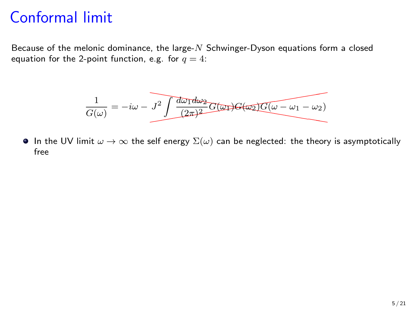Because of the melonic dominance, the large- $N$  Schwinger-Dyson equations form a closed equation for the 2-point function, e.g. for  $q = 4$ :

$$
\frac{1}{G(\omega)} = -i\omega - \overline{J^2 \int \frac{d\omega_1 d\omega_2}{(2\pi)^2} G(\omega_1) G(\omega_2) G(\omega - \omega_1 - \omega_2)}
$$

In the UV limit  $\omega \to \infty$  the self energy  $\Sigma(\omega)$  can be neglected: the theory is asymptotically free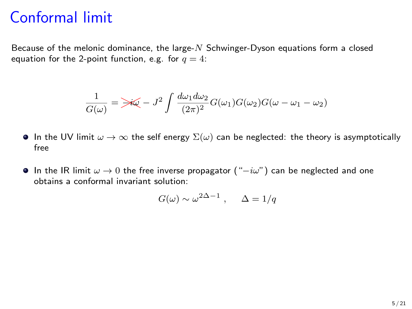Because of the melonic dominance, the large- $N$  Schwinger-Dyson equations form a closed equation for the 2-point function, e.g. for  $q = 4$ :

$$
\frac{1}{G(\omega)} = \frac{1}{\sqrt{\omega}} - J^2 \int \frac{d\omega_1 d\omega_2}{(2\pi)^2} G(\omega_1) G(\omega_2) G(\omega - \omega_1 - \omega_2)
$$

- In the UV limit  $\omega \to \infty$  the self energy  $\Sigma(\omega)$  can be neglected: the theory is asymptotically free
- $\bullet$  In the IR limit  $\omega \to 0$  the free inverse propagator (" $-i\omega$ ") can be neglected and one obtains a conformal invariant solution:

$$
G(\omega) \sim \omega^{2\Delta - 1} , \quad \Delta = 1/q
$$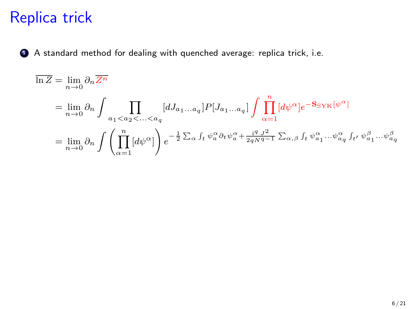## Replica trick

<sup>1</sup> A standard method for dealing with quenched average: replica trick, i.e.

$$
\overline{\ln Z} = \lim_{n \to 0} \partial_n \overline{Z^n}
$$
\n
$$
= \lim_{n \to 0} \partial_n \int \prod_{a_1 < a_2 < \dots < a_q} [dJ_{a_1 \dots a_q}] P[J_{a_1 \dots a_q}] \int \prod_{\alpha=1}^n [d\psi^{\alpha}] e^{-\mathbf{S} \mathbf{S} \mathbf{Y} \mathbf{K}[\psi^{\alpha}]} \\
= \lim_{n \to 0} \partial_n \int \left( \prod_{\alpha=1}^n [d\psi^{\alpha}] \right) e^{-\frac{1}{2} \sum_{\alpha} \int_t \psi^{\alpha}_{a} \partial_t \psi^{\alpha}_{a} + \frac{\mathbf{i}^q J^2}{2qN^q - 1} \sum_{\alpha, \beta} \int_t \psi^{\alpha}_{a_1} \dots \psi^{\alpha}_{a_q} \int_{t'} \psi^{\beta}_{a_1} \dots \psi^{\beta}_{a_q} }
$$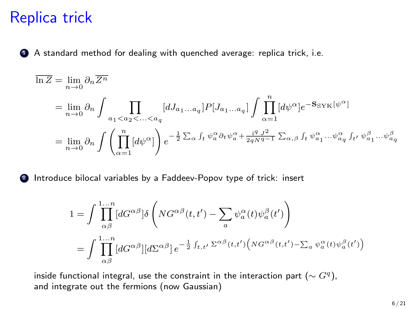### Replica trick

<sup>1</sup> A standard method for dealing with quenched average: replica trick, i.e.

$$
\overline{\ln Z} = \lim_{n \to 0} \partial_n \overline{Z^n}
$$
\n
$$
= \lim_{n \to 0} \partial_n \int \prod_{a_1 < a_2 < \dots < a_q} [dJ_{a_1 \dots a_q}] P[J_{a_1 \dots a_q}] \int \prod_{\alpha=1}^n [d\psi^{\alpha}] e^{-S_{\text{SYK}}[\psi^{\alpha}]}
$$
\n
$$
= \lim_{n \to 0} \partial_n \int \left( \prod_{\alpha=1}^n [d\psi^{\alpha}] \right) e^{-\frac{1}{2} \sum_{\alpha} \int_t \psi^{\alpha}_{a} \partial_t \psi^{\alpha}_{a} + \frac{i^q J^2}{2qN^q - 1} \sum_{\alpha, \beta} \int_t \psi^{\alpha}_{a_1} \dots \psi^{\alpha}_{a_q} \int_{t'} \psi^{\beta}_{a_1} \dots \psi^{\beta}_{a_q}}
$$

**2** Introduce bilocal variables by a Faddeev-Popov type of trick: insert

$$
1 = \int \prod_{\alpha\beta}^{1...n} [dG^{\alpha\beta}] \delta \left( N G^{\alpha\beta}(t, t') - \sum_{a} \psi_a^{\alpha}(t) \psi_a^{\beta}(t') \right)
$$
  
= 
$$
\int \prod_{\alpha\beta}^{1...n} [dG^{\alpha\beta}] [d\Sigma^{\alpha\beta}] e^{-\frac{1}{2} \int_{t, t'} \Sigma^{\alpha\beta}(t, t')} (N G^{\alpha\beta}(t, t') - \sum_a \psi_a^{\alpha}(t) \psi_a^{\beta}(t'))
$$

inside functional integral, use the constraint in the interaction part ( $\sim G^q$ ), and integrate out the fermions (now Gaussian)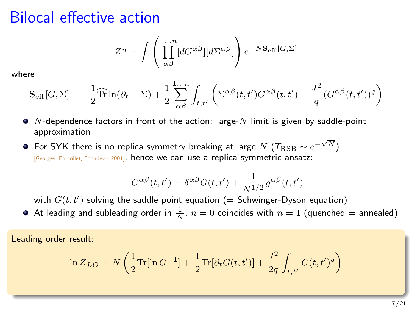### Bilocal effective action

$$
\overline{Z^n} = \int \left( \prod_{\alpha\beta}^{1...n} [dG^{\alpha\beta}][d\Sigma^{\alpha\beta}] \right) e^{-N\mathbf{S}_{\rm eff}[G,\Sigma]}
$$

where

$$
\mathbf{S}_{\text{eff}}[G,\Sigma] = -\frac{1}{2}\widehat{\text{Tr}}\ln(\partial_t - \Sigma) + \frac{1}{2}\sum_{\alpha\beta}^{1...n} \int_{t,t'} \left( \Sigma^{\alpha\beta}(t,t')G^{\alpha\beta}(t,t') - \frac{J^2}{q}(G^{\alpha\beta}(t,t'))^q \right)
$$

- $\bullet$  N-dependence factors in front of the action: large-N limit is given by saddle-point approximation
- $\overline{\phantom{a}}$  For SYK there is no replica symmetry breaking at large  $N$   $(T_{\rm RSB} \sim e^{-\sqrt{N}})$ [Georges, Parcollet, Sachdev - 2001], hence we can use a replica-symmetric ansatz:

$$
G^{\alpha\beta}(t,t') = \delta^{\alpha\beta}\underline{G}(t,t') + \frac{1}{N^{1/2}}g^{\alpha\beta}(t,t')
$$

with  $\underline{G}(t,t')$  solving the saddle point equation (= Schwinger-Dyson equation)

At leading and subleading order in  $\frac{1}{N}$ ,  $n=0$  coincides with  $n=1$  (quenched  $=$  annealed)

Leading order result:

$$
\overline{\ln Z}_{LO} = N \left( \frac{1}{2} \text{Tr}[\ln \underline{G}^{-1}] + \frac{1}{2} \text{Tr}[\partial_t \underline{G}(t,t')] + \frac{J^2}{2q} \int_{t,t'} \underline{G}(t,t')^q \right)
$$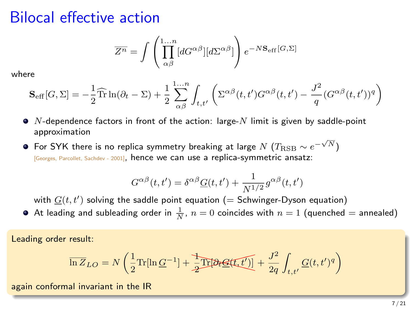### Bilocal effective action

$$
\overline{Z^n} = \int \left( \prod_{\alpha\beta}^{1...n} [dG^{\alpha\beta}][d\Sigma^{\alpha\beta}] \right) e^{-N\mathbf{S}_{\rm eff}[G,\Sigma]}
$$

where

$$
\mathbf{S}_{\text{eff}}[G,\Sigma] = -\frac{1}{2}\widehat{\text{Tr}}\ln(\partial_t - \Sigma) + \frac{1}{2}\sum_{\alpha\beta}^{1...n} \int_{t,t'} \left( \Sigma^{\alpha\beta}(t,t')G^{\alpha\beta}(t,t') - \frac{J^2}{q}(G^{\alpha\beta}(t,t'))^q \right)
$$

- $\bullet$  N-dependence factors in front of the action: large-N limit is given by saddle-point approximation
- $\overline{\phantom{a}}$  For SYK there is no replica symmetry breaking at large  $N$   $(T_{\rm RSB} \sim e^{-\sqrt{N}})$ [Georges, Parcollet, Sachdev - 2001], hence we can use a replica-symmetric ansatz:

$$
G^{\alpha\beta}(t,t') = \delta^{\alpha\beta}\underline{G}(t,t') + \frac{1}{N^{1/2}}g^{\alpha\beta}(t,t')
$$

with  $\underline{G}(t,t')$  solving the saddle point equation (= Schwinger-Dyson equation)

At leading and subleading order in  $\frac{1}{N}$ ,  $n=0$  coincides with  $n=1$  (quenched  $=$  annealed)

Leading order result:

$$
\overline{\ln Z}_{LO} = N \left( \frac{1}{2} \text{Tr}[\ln \underline{G}^{-1}] + \frac{1}{2} \overline{\text{Tr}[\partial_t \underline{G}(t,t')] } + \frac{J^2}{2q} \int_{t,t'} \underline{G}(t,t')^q \right)
$$

again conformal invariant in the IR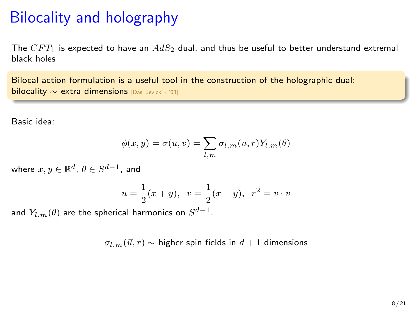## Bilocality and holography

The  $CFT_1$  is expected to have an  $AdS_2$  dual, and thus be useful to better understand extremal black holes

Bilocal action formulation is a useful tool in the construction of the holographic dual: bilocality ∼ extra dimensions [Das, Jevicki - '03]

Basic idea:

$$
\phi(x,y) = \sigma(u,v) = \sum_{l,m} \sigma_{l,m}(u,r) Y_{l,m}(\theta)
$$

where  $x,y\in\mathbb{R}^d$ ,  $\theta\in S^{d-1}$ , and

$$
u = \frac{1}{2}(x+y), v = \frac{1}{2}(x-y), r^2 = v \cdot v
$$

and  $Y_{l,m}(\theta)$  are the spherical harmonics on  $S^{d-1}.$ 

 $\sigma_{l,m}(\vec{u}, r) \sim$  higher spin fields in  $d + 1$  dimensions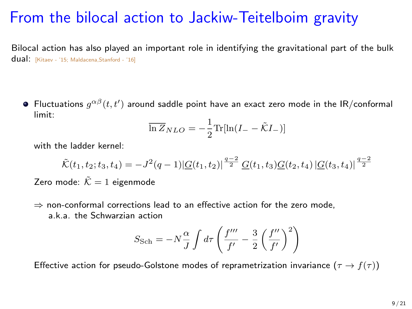## From the bilocal action to Jackiw-Teitelboim gravity

Bilocal action has also played an important role in identifying the gravitational part of the bulk dual: [Kitaev - '15; Maldacena,Stanford - '16]

Fluctuations  $g^{\alpha\beta}(t,t')$  around saddle point have an exact zero mode in the IR/conformal limit:

$$
\overline{\ln Z}_{NLO} = -\frac{1}{2} \text{Tr}[\ln(I_{-} - \tilde{\mathcal{K}}I_{-})]
$$

with the ladder kernel:

$$
\tilde{\mathcal{K}}(t_1, t_2; t_3, t_4) = -J^2(q-1)|\underline{G}(t_1, t_2)|^{\frac{q-2}{2}} \underline{G}(t_1, t_3)\underline{G}(t_2, t_4)|\underline{G}(t_3, t_4)|^{\frac{q-2}{2}}
$$

Zero mode:  $\tilde{\mathcal{K}} = 1$  eigenmode

 $\Rightarrow$  non-conformal corrections lead to an effective action for the zero mode, a.k.a. the Schwarzian action

$$
S_{\rm Sch} = -N\frac{\alpha}{J}\int d\tau \left(\frac{f^{\prime\prime\prime}}{f^\prime} - \frac{3}{2}\left(\frac{f^{\prime\prime}}{f^\prime}\right)^2\right)
$$

Effective action for pseudo-Golstone modes of reprametrization invariance  $(\tau \to f(\tau))$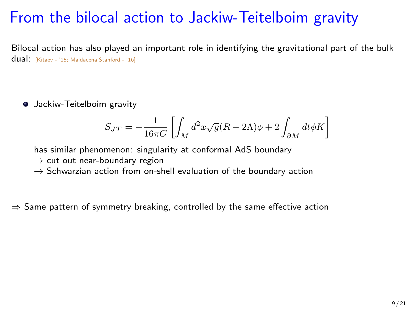## From the bilocal action to Jackiw-Teitelboim gravity

Bilocal action has also played an important role in identifying the gravitational part of the bulk dual: [Kitaev - '15; Maldacena,Stanford - '16]

**•** Jackiw-Teitelboim gravity

$$
S_{JT}=-\frac{1}{16\pi G}\left[\int_M d^2x\sqrt{g}(R-2\Lambda)\phi+2\int_{\partial M} dt \phi K\right]
$$

has similar phenomenon: singularity at conformal AdS boundary

- $\rightarrow$  cut out near-boundary region
- $\rightarrow$  Schwarzian action from on-shell evaluation of the boundary action

 $\Rightarrow$  Same pattern of symmetry breaking, controlled by the same effective action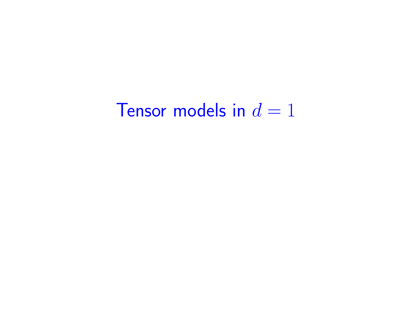# Tensor models in  $d = 1$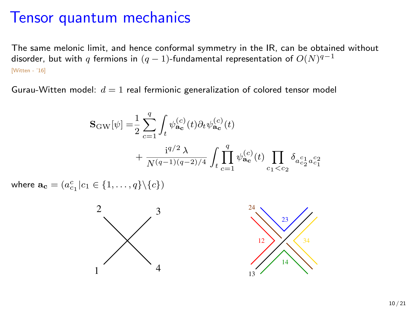#### Tensor quantum mechanics

The same melonic limit, and hence conformal symmetry in the IR, can be obtained without disorder, but with  $q$  fermions in  $(q-1)$ -fundamental representation of  $O(N)^{q-1}$ [Witten - '16]

Gurau-Witten model:  $d = 1$  real fermionic generalization of colored tensor model

$$
\begin{split} \mathbf{S}_\text{GW}[\psi] = & \frac{1}{2} \sum_{c=1}^q \int_t \psi_{\mathbf{a}_\mathbf{c}}^{(c)}(t) \partial_t \psi_{\mathbf{a}_\mathbf{c}}^{(c)}(t) \\ & + \frac{\mathrm{i}^{q/2} \, \lambda}{N^{(q-1)(q-2)/4}} \int_t \prod_{c=1}^q \psi_{\mathbf{a}_\mathbf{c}}^{(c)}(t) \prod_{c_1 < c_2} \delta_{a_{c_2}^{c_1} a_{c_1}^{c_2}} \end{split}
$$

where  $\mathbf{a_c} = (a_{c_1}^c | c_1 \in \{1, ..., q\} \setminus \{c\})$ 



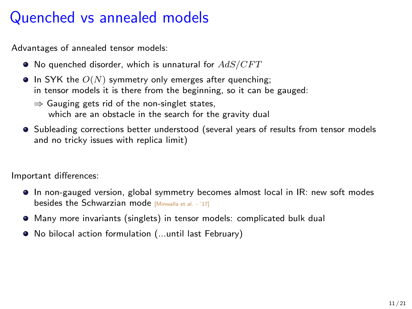## Quenched vs annealed models

Advantages of annealed tensor models:

- $\bullet$  No quenched disorder, which is unnatural for  $AdS/CFT$
- $\bullet$  In SYK the  $O(N)$  symmetry only emerges after quenching; in tensor models it is there from the beginning, so it can be gauged:
	- $\Rightarrow$  Gauging gets rid of the non-singlet states, which are an obstacle in the search for the gravity dual
- $\bullet$  Subleading corrections better understood (several years of results from tensor models and no tricky issues with replica limit)

Important differences:

- In non-gauged version, global symmetry becomes almost local in IR: new soft modes besides the Schwarzian mode [Minwalla et al. - '17]
- Many more invariants (singlets) in tensor models: complicated bulk dual
- No bilocal action formulation (...until last February)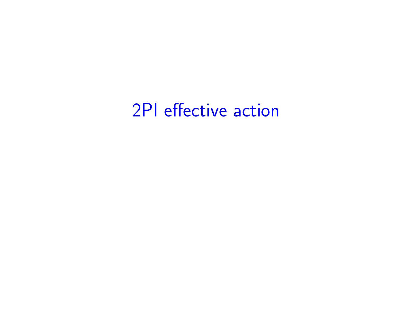# 2PI effective action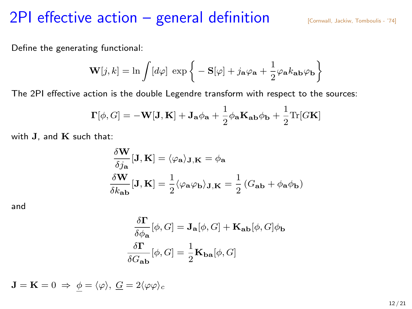#### 2PI effective action  $-$  general definition  $\sum_{[$

Define the generating functional:

$$
\mathbf{W}[j,k] = \ln \int [d\varphi] \, \exp \bigg\{ - \mathbf{S}[\varphi] + j_{\mathbf{a}} \varphi_{\mathbf{a}} + \frac{1}{2} \varphi_{\mathbf{a}} k_{\mathbf{a} \mathbf{b}} \varphi_{\mathbf{b}} \bigg\}
$$

The 2PI effective action is the double Legendre transform with respect to the sources:

$$
\mathbf{\Gamma}[\phi, G] = -\mathbf{W}[\mathbf{J}, \mathbf{K}] + \mathbf{J}_\mathbf{a} \phi_\mathbf{a} + \frac{1}{2} \phi_\mathbf{a} \mathbf{K}_\mathbf{a} \phi_\mathbf{b} + \frac{1}{2} \text{Tr}[G\mathbf{K}]
$$

with  $J$ , and  $K$  such that:

$$
\frac{\delta \mathbf{W}}{\delta j_{\mathbf{a}}}[\mathbf{J}, \mathbf{K}] = \langle \varphi_{\mathbf{a}} \rangle_{\mathbf{J}, \mathbf{K}} = \phi_{\mathbf{a}}
$$

$$
\frac{\delta \mathbf{W}}{\delta k_{\mathbf{a}\mathbf{b}}}[\mathbf{J}, \mathbf{K}] = \frac{1}{2} \langle \varphi_{\mathbf{a}} \varphi_{\mathbf{b}} \rangle_{\mathbf{J}, \mathbf{K}} = \frac{1}{2} \left( G_{\mathbf{a}\mathbf{b}} + \phi_{\mathbf{a}} \phi_{\mathbf{b}} \right)
$$

and

$$
\begin{aligned} \frac{\delta \Gamma}{\delta \phi_{\mathbf{a}}}[\phi, G] &= \mathbf{J}_{\mathbf{a}}[\phi, G] + \mathbf{K}_{\mathbf{a} \mathbf{b}}[\phi, G] \phi_{\mathbf{b}} \\ \frac{\delta \Gamma}{\delta G_{\mathbf{a} \mathbf{b}}}[\phi, G] &= \frac{1}{2} \mathbf{K}_{\mathbf{b} \mathbf{a}}[\phi, G] \end{aligned}
$$

 $\mathbf{J} = \mathbf{K} = 0 \Rightarrow \phi = \langle \varphi \rangle, \; \mathbf{G} = 2 \langle \varphi \varphi \rangle_c$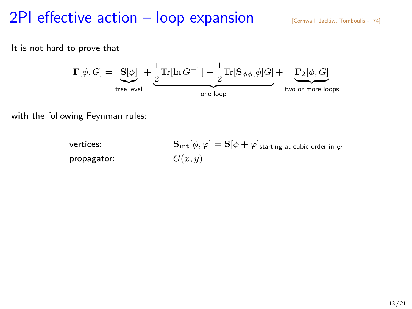## 2PI effective action  $-$  loop expansion  $\sum_{[$

It is not hard to prove that



with the following Feynman rules:

vertices:  $\mathbf{S}_{\mathrm{int}}[\phi, \varphi] = \mathbf{S}[\phi + \varphi]$ starting at cubic order in  $\varphi$ propagator:  $G(x, y)$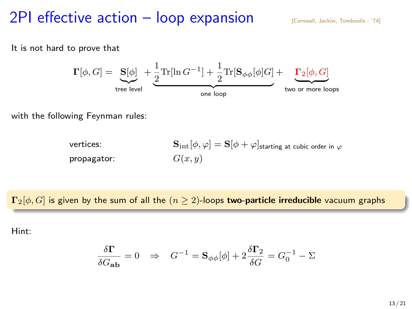### 2PI effective action  $-$  loop expansion  $\sum_{[$

It is not hard to prove that



with the following Feynman rules:

vertices:  $\mathbf{S}_{\mathrm{int}}[\phi, \varphi] = \mathbf{S}[\phi + \varphi]$ starting at cubic order in  $\varphi$ propagator:  $G(x, y)$ 

 $\Gamma_2[\phi, G]$  is given by the sum of all the  $(n \geq 2)$ -loops two-particle irreducible vacuum graphs

Hint:

$$
\frac{\delta \Gamma}{\delta G_{\bf a b}} = 0 \quad \Rightarrow \quad G^{-1} = {\bf S}_{\phi\phi}[\phi] + 2\frac{\delta \Gamma_2}{\delta G} = G_0^{-1} - \Sigma
$$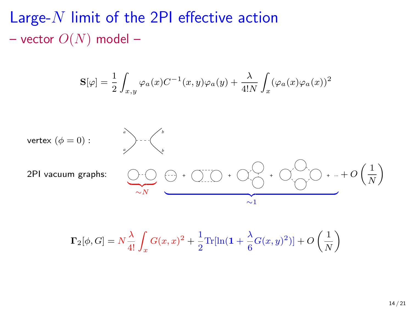Large- $N$  limit of the 2PI effective action – vector  $O(N)$  model –

$$
\mathbf{S}[\varphi] = \frac{1}{2} \int_{x,y} \varphi_a(x) C^{-1}(x,y) \varphi_a(y) + \frac{\lambda}{4!N} \int_x (\varphi_a(x) \varphi_a(x))^2
$$



$$
\Gamma_2[\phi,G]=N\frac{\lambda}{4!}\int_xG(x,x)^2+\frac{1}{2}\mathrm{Tr}[\ln(1+\frac{\lambda}{6}G(x,y)^2)]+O\left(\frac{1}{N}\right)
$$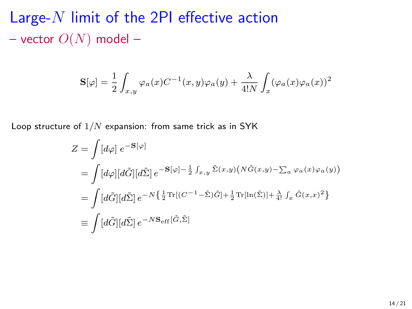Large- $N$  limit of the 2PI effective action – vector  $O(N)$  model –

$$
\mathbf{S}[\varphi] = \frac{1}{2} \int_{x,y} \varphi_a(x) C^{-1}(x,y) \varphi_a(y) + \frac{\lambda}{4!N} \int_x (\varphi_a(x) \varphi_a(x))^2
$$

Loop structure of  $1/N$  expansion: from same trick as in SYK

$$
Z = \int [d\varphi] e^{-\mathbf{S}[\varphi]}
$$
  
\n
$$
= \int [d\varphi][d\tilde{G}][d\tilde{\Sigma}] e^{-\mathbf{S}[\varphi] - \frac{1}{2} \int_{x,y} \tilde{\Sigma}(x,y) (N\tilde{G}(x,y) - \sum_a \varphi_a(x)\varphi_a(y))}
$$
  
\n
$$
= \int [d\tilde{G}][d\tilde{\Sigma}] e^{-N\left{\frac{1}{2}\text{Tr}[(C^{-1} - \tilde{\Sigma})\tilde{G}] + \frac{1}{2}\text{Tr}[\ln(\tilde{\Sigma})] + \frac{\lambda}{4!} \int_x \tilde{G}(x,x)^2\right}
$$
  
\n
$$
\equiv \int [d\tilde{G}][d\tilde{\Sigma}] e^{-N\mathbf{S}_{\text{eff}}}[\tilde{G},\tilde{\Sigma}]
$$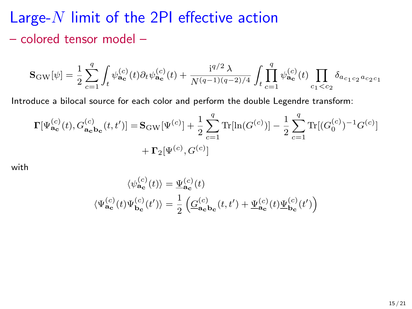## Large-N limit of the 2PI effective action – colored tensor model –

$$
\mathbf{S}_\text{GW}[\psi] = \frac{1}{2} \sum_{c=1}^q \int_t \psi_{\mathbf{a_c}}^{(c)}(t) \partial_t \psi_{\mathbf{a_c}}^{(c)}(t) + \frac{\mathrm{i}^{q/2} \lambda}{N^{(q-1)(q-2)/4}} \int_t \prod_{c=1}^q \psi_{\mathbf{a_c}}^{(c)}(t) \prod_{c_1 < c_2} \delta_{a_{c_1 c_2} a_{c_2 c_1}}
$$

Introduce a bilocal source for each color and perform the double Legendre transform:

$$
\label{eq:11} \begin{split} \mathbf{\Gamma}[\Psi_{\mathbf{a_c}}^{(c)}(t),G_{\mathbf{a_c} \mathbf{b_c}}^{(c)}(t,t')] = & \mathbf{S_{\rm GW}}[\Psi^{(c)}] + \frac{1}{2} \sum_{c=1}^{q} \text{Tr}[\ln (G^{(c)})] - \frac{1}{2} \sum_{c=1}^{q} \text{Tr}[(G_0^{(c)})^{-1} G^{(c)}] \\ & + \mathbf{\Gamma_2}[\Psi^{(c)},G^{(c)}] \end{split}
$$

with

$$
\begin{aligned} \langle \psi_{\mathbf{a_c}}^{(c)}(t) \rangle &= \underline{\Psi}_{\mathbf{a_c}}^{(c)}(t) \\ \langle \Psi_{\mathbf{a_c}}^{(c)}(t) \Psi_{\mathbf{b_c}}^{(c)}(t') \rangle &= \frac{1}{2} \left( \underline{G}_{\mathbf{a_c} \mathbf{b_c}}^{(c)}(t,t') + \underline{\Psi}_{\mathbf{a_c}}^{(c)}(t) \underline{\Psi}_{\mathbf{b_c}}^{(c)}(t') \right) \end{aligned}
$$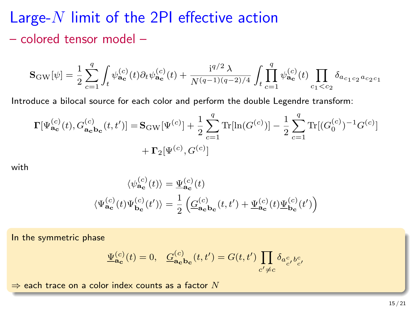## Large- $N$  limit of the 2PI effective action – colored tensor model –

$$
\mathbf{S}_\text{GW}[\psi] = \frac{1}{2} \sum_{c=1}^q \int_t \psi_{\mathbf{a_c}}^{(c)}(t) \partial_t \psi_{\mathbf{a_c}}^{(c)}(t) + \frac{\mathrm{i}^{q/2} \lambda}{N^{(q-1)(q-2)/4}} \int_t \prod_{c=1}^q \psi_{\mathbf{a_c}}^{(c)}(t) \prod_{c_1 < c_2} \delta_{a_{c_1 c_2} a_{c_2 c_1}}
$$

Introduce a bilocal source for each color and perform the double Legendre transform:

$$
\begin{split} \mathbf{\Gamma}[\Psi_{\mathbf{a_c}}^{(c)}(t),G_{\mathbf{a_c} \mathbf{b_c}}^{(c)}(t,t')] = & \mathbf{S_{\rm GW}}[\Psi^{(c)}] + \frac{1}{2} \sum_{c=1}^{q} \text{Tr}[\ln(G^{(c)})] - \frac{1}{2} \sum_{c=1}^{q} \text{Tr}[(G_0^{(c)})^{-1} G^{(c)}] \\ & + \mathbf{\Gamma_2}[\Psi^{(c)},G^{(c)}] \end{split}
$$

with

$$
\langle \psi_{\mathbf{a_c}}^{(c)}(t) \rangle = \underline{\Psi}_{\mathbf{a_c}}^{(c)}(t)
$$
  

$$
\langle \Psi_{\mathbf{a_c}}^{(c)}(t) \Psi_{\mathbf{b_c}}^{(c)}(t') \rangle = \frac{1}{2} \left( \underline{G}_{\mathbf{a_c}}^{(c)} \mathbf{b_c}(t, t') + \underline{\Psi}_{\mathbf{a_c}}^{(c)}(t) \underline{\Psi}_{\mathbf{b_c}}^{(c)}(t') \right)
$$

In the symmetric phase

$$
\underline{\Psi}^{(c)}_{\mathbf{a_c}}(t) = 0, \quad \underline{G}^{(c)}_{\mathbf{a_c} \mathbf{b_c}}(t, t') = G(t, t') \prod_{c' \neq c} \delta_{a^c_{c'} b^c_{c'}}
$$

 $\Rightarrow$  each trace on a color index counts as a factor  $N$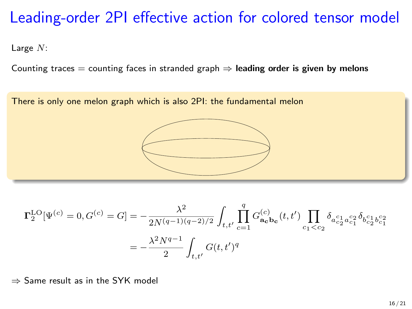## Leading-order 2PI effective action for colored tensor model

Large N:

Counting traces  $=$  counting faces in stranded graph  $\Rightarrow$  leading order is given by melons



$$
= - \frac{\lambda^2 N^{q-1}}{2} \int_{t,t'} G(t,t')^q
$$

⇒ Same result as in the SYK model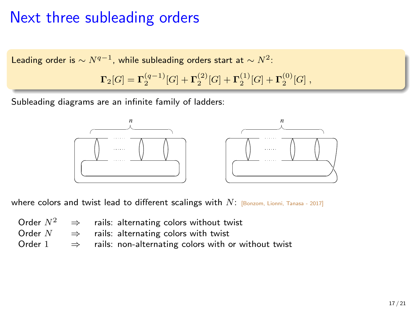## Next three subleading orders

$$
\begin{array}{c} \text{Leading order is} \sim N^{q-1}, \text{ while subleading orders start at } \sim N^2 \text{:}\\ \\ \Gamma_2[G] = \Gamma_2^{(q-1)}[G] + \Gamma_2^{(2)}[G] + \Gamma_2^{(1)}[G] + \Gamma_2^{(0)}[G] \ , \end{array}
$$

Subleading diagrams are an infinite family of ladders:



where colors and twist lead to different scalings with  $N$ : [Bonzom, Lionni, Tanasa - 2017]

|           | Order $N^2 \Rightarrow$ rails: alternating colors without twist   |
|-----------|-------------------------------------------------------------------|
| Order $N$ | $\Rightarrow$ rails: alternating colors with twist                |
| Order 1   | $\Rightarrow$ rails: non-alternating colors with or without twist |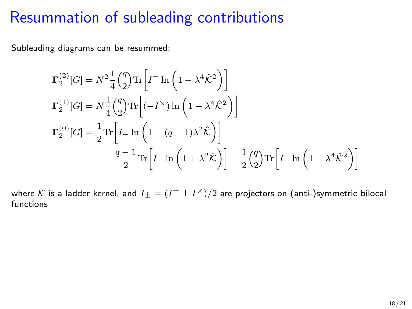### Resummation of subleading contributions

Subleading diagrams can be resummed:

$$
\Gamma_2^{(2)}[G] = N^2 \frac{1}{4} {q \choose 2} \text{Tr} \left[ I^= \ln \left( 1 - \lambda^4 \hat{K}^2 \right) \right]
$$
  
\n
$$
\Gamma_2^{(1)}[G] = N \frac{1}{4} {q \choose 2} \text{Tr} \left[ (-I^{\times}) \ln \left( 1 - \lambda^4 \hat{K}^2 \right) \right]
$$
  
\n
$$
\Gamma_2^{(0)}[G] = \frac{1}{2} \text{Tr} \left[ I_- \ln \left( 1 - (q-1)\lambda^2 \hat{K} \right) \right]
$$
  
\n
$$
+ \frac{q-1}{2} \text{Tr} \left[ I_- \ln \left( 1 + \lambda^2 \hat{K} \right) \right] - \frac{1}{2} {q \choose 2} \text{Tr} \left[ I_- \ln \left( 1 - \lambda^4 \hat{K}^2 \right) \right]
$$

where  $\hat{\mathcal{K}}$  is a ladder kernel, and  $I_\pm = (I^\pm \pm I^\times)/2$  are projectors on (anti-)symmetric bilocal functions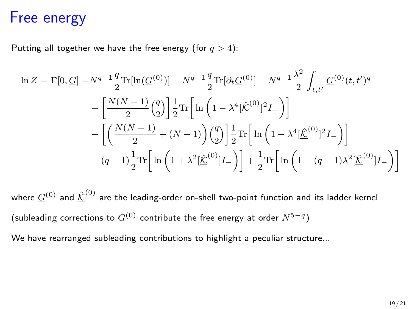#### Free energy

Putting all together we have the free energy (for  $q > 4$ ):

$$
-\ln Z = \Gamma[0, \underline{G}] = N^{q-1} \frac{q}{2} \text{Tr}[\ln(\underline{G}^{(0)})] - N^{q-1} \frac{q}{2} \text{Tr}[\partial_t \underline{G}^{(0)}] - N^{q-1} \frac{\lambda^2}{2} \int_{t, t'} \underline{G}^{(0)}(t, t')^q
$$

$$
+ \left[ \frac{N(N-1)}{2} {q \choose 2} \right] \frac{1}{2} \text{Tr} \left[ \ln \left( 1 - \lambda^4 [\underline{\hat{K}}^{(0)}]^2 I_+ \right) \right]
$$

$$
+ \left[ \left( \frac{N(N-1)}{2} + (N-1) \right) {q \choose 2} \right] \frac{1}{2} \text{Tr} \left[ \ln \left( 1 - \lambda^4 [\underline{\hat{K}}^{(0)}]^2 I_- \right) \right]
$$

$$
+ (q-1) \frac{1}{2} \text{Tr} \left[ \ln \left( 1 + \lambda^2 [\underline{\hat{K}}^{(0)}] I_- \right) \right] + \frac{1}{2} \text{Tr} \left[ \ln \left( 1 - (q-1) \lambda^2 [\underline{\hat{K}}^{(0)}] I_- \right) \right]
$$

where  $\underline{G}^{(0)}$  and  $\underline{\hat{\mathcal{K}}}^{(0)}$  are the leading-order on-shell two-point function and its ladder kernel (subleading corrections to  $\underline{G}^{(0)}$  contribute the free energy at order  $N^{5-q})$ 

We have rearranged subleading contributions to highlight a peculiar structure...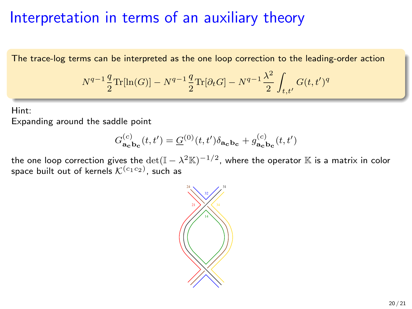### Interpretation in terms of an auxiliary theory

The trace-log terms can be interpreted as the one loop correction to the leading-order action

$$
N^{q-1}\frac{q}{2}\text{Tr}[\ln(G)] - N^{q-1}\frac{q}{2}\text{Tr}[\partial_t G] - N^{q-1}\frac{\lambda^2}{2} \int_{t,t'} G(t,t')^q
$$

Hint: Expanding around the saddle point

$$
G_{\mathbf{a_c}}^{(c)}(t, t') = \underline{G}^{(0)}(t, t') \delta_{\mathbf{a_c b_c}} + g_{\mathbf{a_c b_c}}^{(c)}(t, t')
$$

the one loop correction gives the  $\det(\mathbb{I} - \lambda^2 \mathbb{K})^{-1/2}$ , where the operator  $\mathbb K$  is a matrix in color space built out of kernels  $\mathcal{K}^{(c_1c_2)}$ , such as

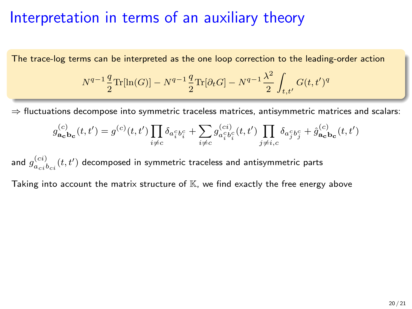#### Interpretation in terms of an auxiliary theory

The trace-log terms can be interpreted as the one loop correction to the leading-order action

$$
N^{q-1}\frac{q}{2}\text{Tr}[\ln(G)] - N^{q-1}\frac{q}{2}\text{Tr}[\partial_t G] - N^{q-1}\frac{\lambda^2}{2} \int_{t,t'} G(t,t')^q
$$

 $\Rightarrow$  fluctuations decompose into symmetric traceless matrices, antisymmetric matrices and scalars:

$$
g^{(c)}_{{\bf a_c b_c}}(t,t') = g^{(c)}(t,t') \prod_{i \neq c} \delta_{a^c_i b^c_i} + \sum_{i \neq c} g^{(ci)}_{a^c_i b^c_i}(t,t') \prod_{j \neq i,c} \delta_{a^c_j b^c_j} + \hat{g}^{(c)}_{{\bf a_c b_c}}(t,t')
$$

and  $g_{a_{ci}b_{ci}}^{(ci)}(t,t')$  decomposed in symmetric traceless and antisymmetric parts

Taking into account the matrix structure of  $K$ , we find exactly the free energy above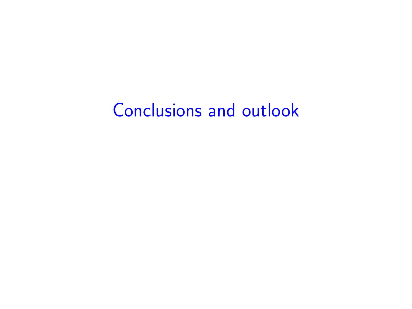# Conclusions and outlook